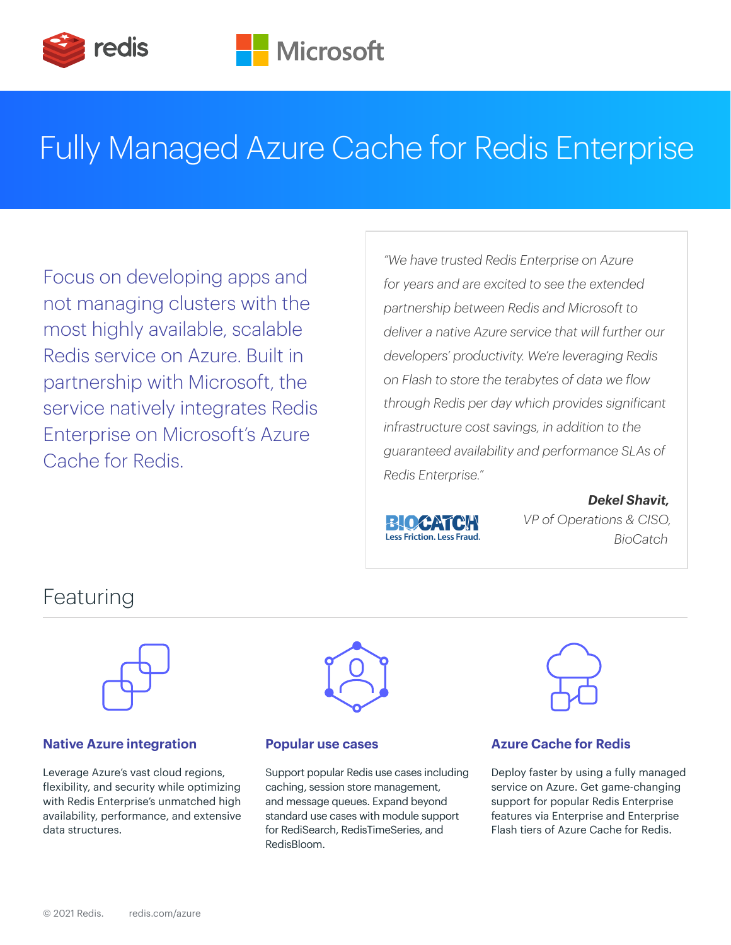

# Fully Managed Azure Cache for Redis Enterprise

Focus on developing apps and not managing clusters with the most highly available, scalable Redis service on Azure. Built in partnership with Microsoft, the service natively integrates Redis Enterprise on Microsoft's Azure Cache for Redis.

*"We have trusted Redis Enterprise on Azure for years and are excited to see the extended partnership between Redis and Microsoft to deliver a native Azure service that will further our developers' productivity. We're leveraging Redis on Flash to store the terabytes of data we flow through Redis per day which provides significant infrastructure cost savings, in addition to the guaranteed availability and performance SLAs of Redis Enterprise."*



 *Dekel Shavit, BLOCATCH VP of Operations & CISO,* 

# Featuring



### **Native Azure integration example 20 Popular use cases Azure Cache for Redis**

Leverage Azure's vast cloud regions, flexibility, and security while optimizing with Redis Enterprise's unmatched high availability, performance, and extensive data structures.



Support popular Redis use cases including caching, session store management, and message queues. Expand beyond standard use cases with module support for RediSearch, RedisTimeSeries, and RedisBloom.



Deploy faster by using a fully managed service on Azure. Get game-changing support for popular Redis Enterprise features via Enterprise and Enterprise Flash tiers of Azure Cache for Redis.